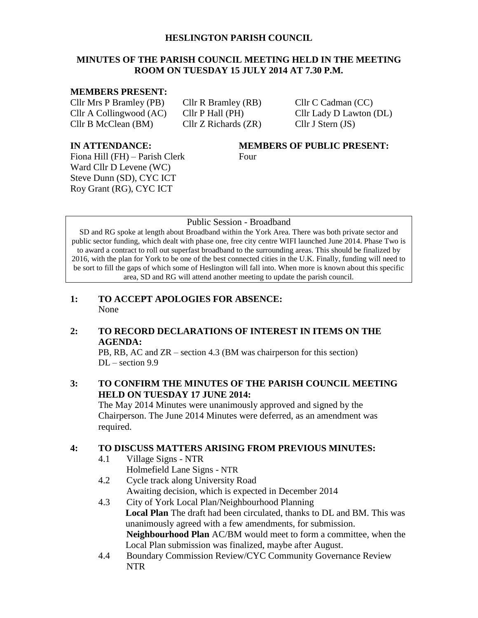#### **HESLINGTON PARISH COUNCIL**

# **MINUTES OF THE PARISH COUNCIL MEETING HELD IN THE MEETING ROOM ON TUESDAY 15 JULY 2014 AT 7.30 P.M.**

#### **MEMBERS PRESENT:**

Cllr Mrs P Bramley (PB) Cllr R Bramley (RB) Cllr C Cadman (CC) Cllr A Collingwood (AC) Cllr P Hall (PH) Cllr Lady D Lawton (DL) Cllr B McClean (BM) Cllr Z Richards (ZR) Cllr J Stern (JS)

Fiona Hill (FH) – Parish Clerk Four Ward Cllr D Levene (WC) Steve Dunn (SD), CYC ICT Roy Grant (RG), CYC ICT

# **IN ATTENDANCE: MEMBERS OF PUBLIC PRESENT:**

#### Public Session - Broadband

SD and RG spoke at length about Broadband within the York Area. There was both private sector and public sector funding, which dealt with phase one, free city centre WIFI launched June 2014. Phase Two is to award a contract to roll out superfast broadband to the surrounding areas. This should be finalized by 2016, with the plan for York to be one of the best connected cities in the U.K. Finally, funding will need to be sort to fill the gaps of which some of Heslington will fall into. When more is known about this specific area, SD and RG will attend another meeting to update the parish council.

**1: TO ACCEPT APOLOGIES FOR ABSENCE:** None

# **2: TO RECORD DECLARATIONS OF INTEREST IN ITEMS ON THE AGENDA:**

PB, RB, AC and ZR – section 4.3 (BM was chairperson for this section)  $DL -$  section 9.9

# **3: TO CONFIRM THE MINUTES OF THE PARISH COUNCIL MEETING HELD ON TUESDAY 17 JUNE 2014:**

The May 2014 Minutes were unanimously approved and signed by the Chairperson. The June 2014 Minutes were deferred, as an amendment was required.

# **4: TO DISCUSS MATTERS ARISING FROM PREVIOUS MINUTES:**

- 4.1 Village Signs NTR Holmefield Lane Signs - NTR
- 4.2 Cycle track along University Road Awaiting decision, which is expected in December 2014
- 4.3 City of York Local Plan/Neighbourhood Planning **Local Plan** The draft had been circulated, thanks to DL and BM. This was unanimously agreed with a few amendments, for submission. **Neighbourhood Plan** AC/BM would meet to form a committee, when the Local Plan submission was finalized, maybe after August.
- 4.4 Boundary Commission Review/CYC Community Governance Review NTR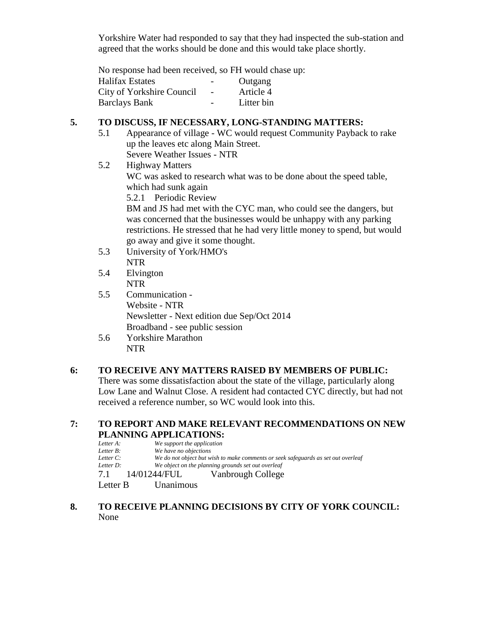Yorkshire Water had responded to say that they had inspected the sub-station and agreed that the works should be done and this would take place shortly.

No response had been received, so FH would chase up:

| <b>Halifax Estates</b>    |                          | Outgang    |
|---------------------------|--------------------------|------------|
| City of Yorkshire Council | $\overline{\phantom{a}}$ | Article 4  |
| <b>Barclays Bank</b>      | $\overline{\phantom{0}}$ | Litter bin |

# **5. TO DISCUSS, IF NECESSARY, LONG-STANDING MATTERS:**

- 5.1 Appearance of village WC would request Community Payback to rake up the leaves etc along Main Street. Severe Weather Issues - NTR
- 5.2 Highway Matters

WC was asked to research what was to be done about the speed table, which had sunk again

5.2.1 Periodic Review

BM and JS had met with the CYC man, who could see the dangers, but was concerned that the businesses would be unhappy with any parking restrictions. He stressed that he had very little money to spend, but would go away and give it some thought.

- 5.3 University of York/HMO's NTR
- 5.4 Elvington NTR
- 5.5 Communication Website - NTR Newsletter - Next edition due Sep/Oct 2014 Broadband - see public session
- 5.6 Yorkshire Marathon NTR

# **6: TO RECEIVE ANY MATTERS RAISED BY MEMBERS OF PUBLIC:**

There was some dissatisfaction about the state of the village, particularly along Low Lane and Walnut Close. A resident had contacted CYC directly, but had not received a reference number, so WC would look into this.

## **7: TO REPORT AND MAKE RELEVANT RECOMMENDATIONS ON NEW PLANNING APPLICATIONS:**

| Letter A:    | We support the application |                                                                                   |
|--------------|----------------------------|-----------------------------------------------------------------------------------|
| Letter $B$ : | We have no objections      |                                                                                   |
| Letter $C$ : |                            | We do not object but wish to make comments or seek safeguards as set out overleaf |
| Letter D:    |                            | We object on the planning grounds set out overleaf                                |
| 7.1          | - 14/01244/FUL             | Vanbrough College                                                                 |
| Letter B     | Unanimous                  |                                                                                   |

**8. TO RECEIVE PLANNING DECISIONS BY CITY OF YORK COUNCIL:** None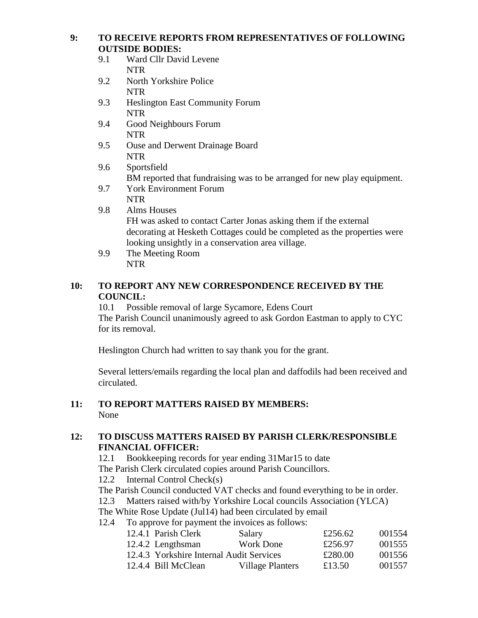**9: TO RECEIVE REPORTS FROM REPRESENTATIVES OF FOLLOWING OUTSIDE BODIES:**

- 9.1 Ward Cllr David Levene NTR
- 9.2 North Yorkshire Police NTR
- 9.3 Heslington East Community Forum NTR
- 9.4 Good Neighbours Forum NTR
- 9.5 Ouse and Derwent Drainage Board NTR
- 9.6 Sportsfield BM reported that fundraising was to be arranged for new play equipment.
- 9.7 York Environment Forum NTR
- 9.8 Alms Houses FH was asked to contact Carter Jonas asking them if the external decorating at Hesketh Cottages could be completed as the properties were looking unsightly in a conservation area village.
- 9.9 The Meeting Room NTR

# **10: TO REPORT ANY NEW CORRESPONDENCE RECEIVED BY THE COUNCIL:**

10.1 Possible removal of large Sycamore, Edens Court The Parish Council unanimously agreed to ask Gordon Eastman to apply to CYC for its removal.

Heslington Church had written to say thank you for the grant.

Several letters/emails regarding the local plan and daffodils had been received and circulated.

#### **11: TO REPORT MATTERS RAISED BY MEMBERS:** None

# **12: TO DISCUSS MATTERS RAISED BY PARISH CLERK/RESPONSIBLE FINANCIAL OFFICER:**

12.1 Bookkeeping records for year ending 31Mar15 to date The Parish Clerk circulated copies around Parish Councillors.

12.2 Internal Control Check(s)

The Parish Council conducted VAT checks and found everything to be in order.

12.3 Matters raised with/by Yorkshire Local councils Association (YLCA)

The White Rose Update (Jul14) had been circulated by email

12.4 To approve for payment the invoices as follows:

| 12.4.1 Parish Clerk                      | Salary                  | £256.62 | 001554 |
|------------------------------------------|-------------------------|---------|--------|
| 12.4.2 Lengthsman                        | <b>Work Done</b>        | £256.97 | 001555 |
| 12.4.3 Yorkshire Internal Audit Services |                         | £280.00 | 001556 |
| 12.4.4 Bill McClean                      | <b>Village Planters</b> | £13.50  | 001557 |